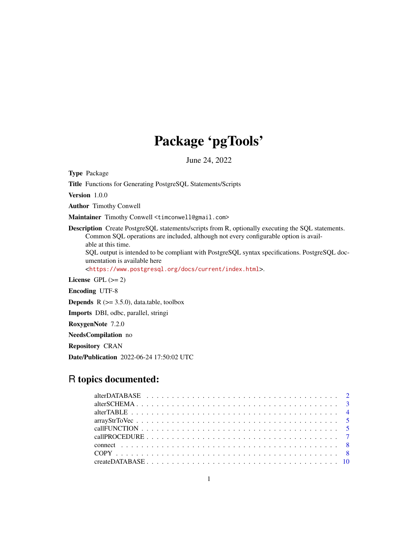## Package 'pgTools'

June 24, 2022

Type Package

Title Functions for Generating PostgreSQL Statements/Scripts

Version 1.0.0

Author Timothy Conwell

Maintainer Timothy Conwell <timconwell@gmail.com>

Description Create PostgreSQL statements/scripts from R, optionally executing the SQL statements. Common SQL operations are included, although not every configurable option is available at this time.

SQL output is intended to be compliant with PostgreSQL syntax specifications. PostgreSQL documentation is available here

<<https://www.postgresql.org/docs/current/index.html>>.

License GPL  $(>= 2)$ 

Encoding UTF-8

**Depends**  $R$  ( $>= 3.5.0$ ), data.table, toolbox

Imports DBI, odbc, parallel, stringi

RoxygenNote 7.2.0

NeedsCompilation no

Repository CRAN

Date/Publication 2022-06-24 17:50:02 UTC

## R topics documented: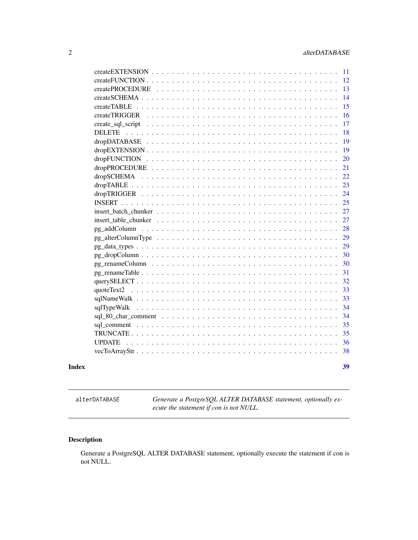<span id="page-1-0"></span>

| Index |                                                                                                             | 39 |
|-------|-------------------------------------------------------------------------------------------------------------|----|
|       |                                                                                                             | 38 |
|       | <b>UPDATE</b>                                                                                               | 36 |
|       |                                                                                                             | 35 |
|       |                                                                                                             | 35 |
|       |                                                                                                             | 34 |
|       |                                                                                                             | 34 |
|       |                                                                                                             | 33 |
|       | quoteText2                                                                                                  | 33 |
|       |                                                                                                             | 32 |
|       |                                                                                                             | 31 |
|       |                                                                                                             | 30 |
|       |                                                                                                             | 30 |
|       | $pg\_data\_types \dots \dots \dots \dots \dots \dots \dots \dots \dots \dots \dots \dots \dots \dots \dots$ | 29 |
|       |                                                                                                             | 29 |
|       |                                                                                                             | 28 |
|       |                                                                                                             | 27 |
|       |                                                                                                             | 27 |
|       |                                                                                                             | 25 |
|       |                                                                                                             | 24 |
|       |                                                                                                             | 23 |
|       | dropSCHEMA                                                                                                  | 22 |
|       |                                                                                                             | 21 |
|       | $dropFUNCTION \ldots \ldots \ldots \ldots \ldots \ldots \ldots \ldots \ldots \ldots \ldots \ldots$          | 20 |
|       | $dropEXTENSION \ldots \ldots \ldots \ldots \ldots \ldots \ldots \ldots \ldots \ldots \ldots \ldots$         | 19 |
|       |                                                                                                             | 19 |
|       | <b>DELETE</b>                                                                                               | 18 |
|       | create_sql_script                                                                                           | 17 |
|       | createTRIGGER                                                                                               | 16 |
|       |                                                                                                             | 15 |
|       |                                                                                                             | 14 |
|       | createPROCEDURE                                                                                             | 13 |
|       |                                                                                                             | 12 |
|       |                                                                                                             | 11 |

alterDATABASE *Generate a PostgreSQL ALTER DATABASE statement, optionally execute the statement if con is not NULL.*

## Description

Generate a PostgreSQL ALTER DATABASE statement, optionally execute the statement if con is not NULL.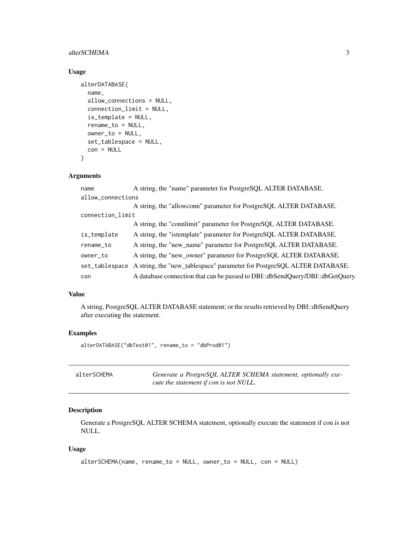## <span id="page-2-0"></span>alterSCHEMA 3

## Usage

```
alterDATABASE(
 name,
  allow_connections = NULL,
 connection_limit = NULL,
  is_template = NULL,
  rename_to = NULL,
 owner_to = NULL,
  set_tablespace = NULL,
 con = NULL
\mathcal{E}
```
## Arguments

| name              | A string, the "name" parameter for PostgreSQL ALTER DATABASE.                 |  |
|-------------------|-------------------------------------------------------------------------------|--|
| allow_connections |                                                                               |  |
|                   | A string, the "allowconn" parameter for PostgreSQL ALTER DATABASE.            |  |
| connection_limit  |                                                                               |  |
|                   | A string, the "connlimit" parameter for PostgreSQL ALTER DATABASE.            |  |
| is_template       | A string, the "istemplate" parameter for PostgreSQL ALTER DATABASE.           |  |
| rename_to         | A string, the "new_name" parameter for PostgreSQL ALTER DATABASE.             |  |
| owner to          | A string, the "new_owner" parameter for PostgreSQL ALTER DATABASE.            |  |
| set_tablespace    | A string, the "new_tablespace" parameter for PostgreSQL ALTER DATABASE.       |  |
| con               | A database connection that can be passed to DBI::dbSendQuery/DBI::dbGetQuery. |  |

## Value

A string, PostgreSQL ALTER DATABASE statement; or the results retrieved by DBI::dbSendQuery after executing the statement.

## Examples

```
alterDATABASE("dbTest01", rename_to = "dbProd01")
```

| alterSCHEMA | Generate a PostgreSQL ALTER SCHEMA statement, optionally exe- |
|-------------|---------------------------------------------------------------|
|             | cute the statement if con is not NULL.                        |

## Description

Generate a PostgreSQL ALTER SCHEMA statement, optionally execute the statement if con is not NULL.

```
alterSCHEMA(name, rename_to = NULL, owner_to = NULL, con = NULL)
```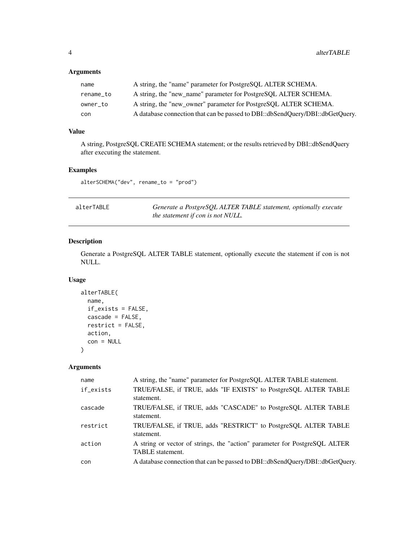## <span id="page-3-0"></span>Arguments

| name      | A string, the "name" parameter for PostgreSQL ALTER SCHEMA.                   |
|-----------|-------------------------------------------------------------------------------|
| rename_to | A string, the "new_name" parameter for PostgreSQL ALTER SCHEMA.               |
| owner to  | A string, the "new owner" parameter for PostgreSQL ALTER SCHEMA.              |
| con       | A database connection that can be passed to DBI::dbSendQuery/DBI::dbGetQuery. |

## Value

A string, PostgreSQL CREATE SCHEMA statement; or the results retrieved by DBI::dbSendQuery after executing the statement.

## Examples

alterSCHEMA("dev", rename\_to = "prod")

| alterTABLE | Generate a PostgreSQL ALTER TABLE statement, optionally execute |
|------------|-----------------------------------------------------------------|
|            | the statement if con is not NULL.                               |

## Description

Generate a PostgreSQL ALTER TABLE statement, optionally execute the statement if con is not NULL.

## Usage

```
alterTABLE(
  name,
  if_exists = FALSE,
  cascade = FALSE,
  restrict = FALSE,
  action,
  con = NULL
\mathcal{E}
```

| name      | A string, the "name" parameter for PostgreSQL ALTER TABLE statement.                           |
|-----------|------------------------------------------------------------------------------------------------|
| if_exists | TRUE/FALSE, if TRUE, adds "IF EXISTS" to PostgreSQL ALTER TABLE<br>statement.                  |
| cascade   | TRUE/FALSE, if TRUE, adds "CASCADE" to PostgreSQL ALTER TABLE<br>statement.                    |
| restrict  | TRUE/FALSE, if TRUE, adds "RESTRICT" to PostgreSQL ALTER TABLE<br>statement.                   |
| action    | A string or vector of strings, the "action" parameter for PostgreSQL ALTER<br>TABLE statement. |
| con       | A database connection that can be passed to DBI::dbSendQuery/DBI::dbGetQuery.                  |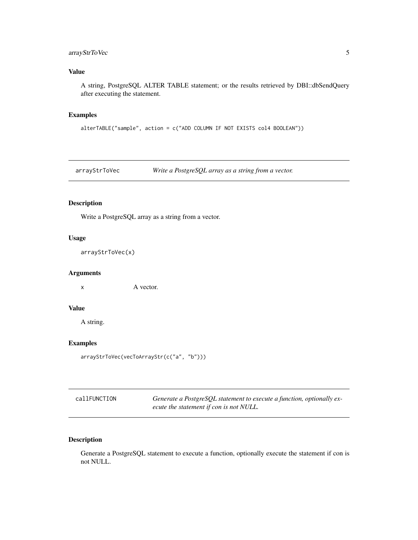## <span id="page-4-0"></span>arrayStrToVec 5

## Value

A string, PostgreSQL ALTER TABLE statement; or the results retrieved by DBI::dbSendQuery after executing the statement.

## Examples

```
alterTABLE("sample", action = c("ADD COLUMN IF NOT EXISTS col4 BOOLEAN"))
```
arrayStrToVec *Write a PostgreSQL array as a string from a vector.*

## Description

Write a PostgreSQL array as a string from a vector.

## Usage

arrayStrToVec(x)

## Arguments

x A vector.

## Value

A string.

## Examples

```
arrayStrToVec(vecToArrayStr(c("a", "b")))
```

| callFUNCTION | Generate a PostgreSQL statement to execute a function, optionally ex- |
|--------------|-----------------------------------------------------------------------|
|              | ecute the statement if con is not NULL.                               |

#### Description

Generate a PostgreSQL statement to execute a function, optionally execute the statement if con is not NULL.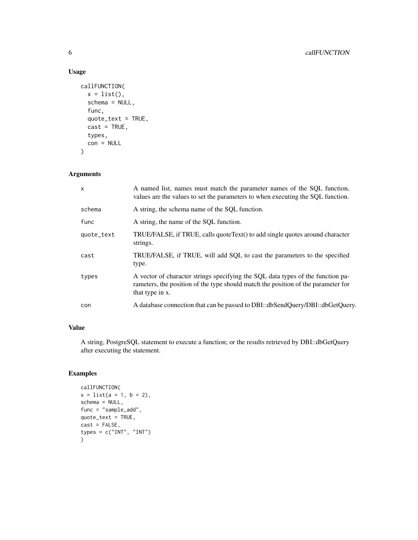## Usage

```
callFUNCTION(
  x = list(),schema = NULL,
  func,
  quote_text = TRUE,
  cast = TRUE,types,
  con = NULL
)
```
## Arguments

| $\mathsf{x}$ | A named list, names must match the parameter names of the SQL function,<br>values are the values to set the parameters to when executing the SQL function.                              |
|--------------|-----------------------------------------------------------------------------------------------------------------------------------------------------------------------------------------|
| schema       | A string, the schema name of the SQL function.                                                                                                                                          |
| func         | A string, the name of the SOL function.                                                                                                                                                 |
| quote_text   | TRUE/FALSE, if TRUE, calls quoteText() to add single quotes around character<br>strings.                                                                                                |
| cast         | TRUE/FALSE, if TRUE, will add SQL to cast the parameters to the specified<br>type.                                                                                                      |
| types        | A vector of character strings specifying the SQL data types of the function pa-<br>rameters, the position of the type should match the position of the parameter for<br>that type in x. |
| con          | A database connection that can be passed to DBI::dbSendQuery/DBI::dbGetQuery.                                                                                                           |

## Value

A string, PostgreSQL statement to execute a function; or the results retrieved by DBI::dbGetQuery after executing the statement.

```
callFUNCTION(
x = list(a = 1, b = 2),schema = NULL,
func = "sample_add",
quote_text = TRUE,
cast = FALSE,types = c("INT", "INT")
)
```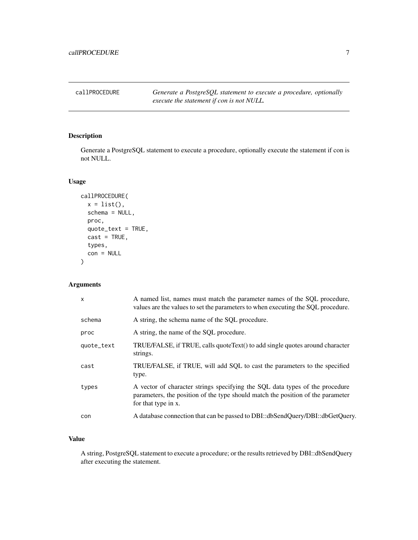<span id="page-6-0"></span>callPROCEDURE *Generate a PostgreSQL statement to execute a procedure, optionally execute the statement if con is not NULL.*

## Description

Generate a PostgreSQL statement to execute a procedure, optionally execute the statement if con is not NULL.

## Usage

```
callPROCEDURE(
  x = list(),
  schema = NULL,
 proc,
 quote_text = TRUE,
  cast = TRUE,types,
  con = NULL
)
```
## Arguments

| $\times$   | A named list, names must match the parameter names of the SQL procedure,<br>values are the values to set the parameters to when executing the SQL procedure.                           |
|------------|----------------------------------------------------------------------------------------------------------------------------------------------------------------------------------------|
| schema     | A string, the schema name of the SQL procedure.                                                                                                                                        |
| proc       | A string, the name of the SQL procedure.                                                                                                                                               |
| quote_text | TRUE/FALSE, if TRUE, calls quoteText() to add single quotes around character<br>strings.                                                                                               |
| cast       | TRUE/FALSE, if TRUE, will add SQL to cast the parameters to the specified<br>type.                                                                                                     |
| types      | A vector of character strings specifying the SQL data types of the procedure<br>parameters, the position of the type should match the position of the parameter<br>for that type in x. |
| con        | A database connection that can be passed to DBI::dbSendQuery/DBI::dbGetQuery.                                                                                                          |
|            |                                                                                                                                                                                        |

## Value

A string, PostgreSQL statement to execute a procedure; or the results retrieved by DBI::dbSendQuery after executing the statement.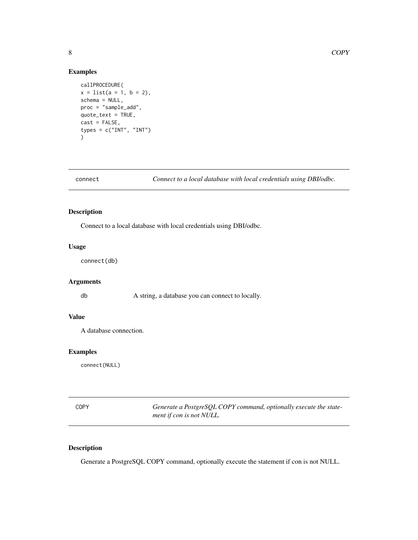## Examples

```
callPROCEDURE(
x = list(a = 1, b = 2),schema = NULL,
proc = "sample_add",
quote_text = TRUE,
cast = FALSE,types = c("INT", "INT")
)
```
connect *Connect to a local database with local credentials using DBI/odbc.*

## Description

Connect to a local database with local credentials using DBI/odbc.

## Usage

connect(db)

## Arguments

db A string, a database you can connect to locally.

## Value

A database connection.

## Examples

connect(NULL)

COPY *Generate a PostgreSQL COPY command, optionally execute the statement if con is not NULL.*

## Description

Generate a PostgreSQL COPY command, optionally execute the statement if con is not NULL.

<span id="page-7-0"></span>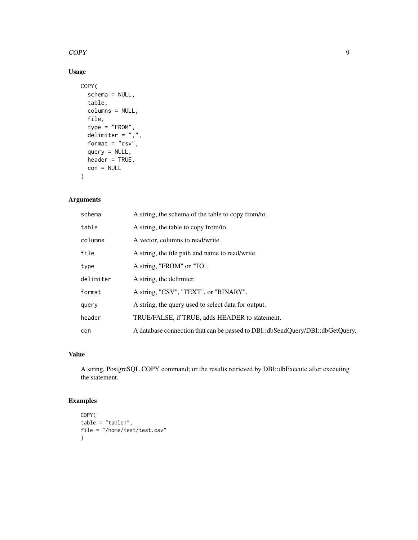## $COPY$  9

## Usage

```
COPY(
  schema = NULL,
  table,
  columns = NULL,
  file,
  type = "FROM",delimiter = ",",
  format = "csv",
  query = NULL,
  header = TRUE,
  con = NULL
\mathcal{L}
```
## Arguments

| schema    | A string, the schema of the table to copy from/to.                            |
|-----------|-------------------------------------------------------------------------------|
| table     | A string, the table to copy from/to.                                          |
| columns   | A vector, columns to read/write.                                              |
| file      | A string, the file path and name to read/write.                               |
| type      | A string, "FROM" or "TO".                                                     |
| delimiter | A string, the delimiter.                                                      |
| format    | A string, "CSV", "TEXT", or "BINARY".                                         |
| query     | A string, the query used to select data for output.                           |
| header    | TRUE/FALSE, if TRUE, adds HEADER to statement.                                |
| con       | A database connection that can be passed to DBI::dbSendQuery/DBI::dbGetQuery. |

## Value

A string, PostgreSQL COPY command; or the results retrieved by DBI::dbExecute after executing the statement.

```
COPY(
table = "table1",file = "/home/test/test.csv"
\mathcal{L}
```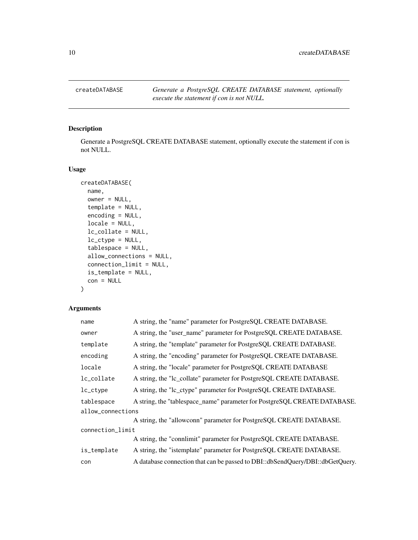<span id="page-9-0"></span>

## Description

Generate a PostgreSQL CREATE DATABASE statement, optionally execute the statement if con is not NULL.

## Usage

```
createDATABASE(
 name,
  owner = NULL,template = NULL,
  encoding = NULL,
  locale = NULL,
  lc_collate = NULL,
  lc_ctype = NULL,
  tablespace = NULL,
  allow_connections = NULL,
  connection_limit = NULL,
  is_template = NULL,
  con = NULL
)
```

| name                  | A string, the "name" parameter for PostgreSQL CREATE DATABASE.                |  |
|-----------------------|-------------------------------------------------------------------------------|--|
| owner                 | A string, the "user_name" parameter for PostgreSQL CREATE DATABASE.           |  |
| template              | A string, the "template" parameter for PostgreSQL CREATE DATABASE.            |  |
| encoding              | A string, the "encoding" parameter for PostgreSQL CREATE DATABASE.            |  |
| locale                | A string, the "locale" parameter for PostgreSQL CREATE DATABASE               |  |
| lc_collate            | A string, the "lc_collate" parameter for PostgreSQL CREATE DATABASE.          |  |
| $lc_{\text{-}}ct$ ype | A string, the "lc_ctype" parameter for PostgreSQL CREATE DATABASE.            |  |
| tablespace            | A string, the "tablespace_name" parameter for PostgreSQL CREATE DATABASE.     |  |
| allow_connections     |                                                                               |  |
|                       | A string, the "allowconn" parameter for PostgreSQL CREATE DATABASE.           |  |
| connection_limit      |                                                                               |  |
|                       | A string, the "connlimit" parameter for PostgreSQL CREATE DATABASE.           |  |
| is_template           | A string, the "istemplate" parameter for PostgreSQL CREATE DATABASE.          |  |
| con                   | A database connection that can be passed to DBI::dbSendQuery/DBI::dbGetQuery. |  |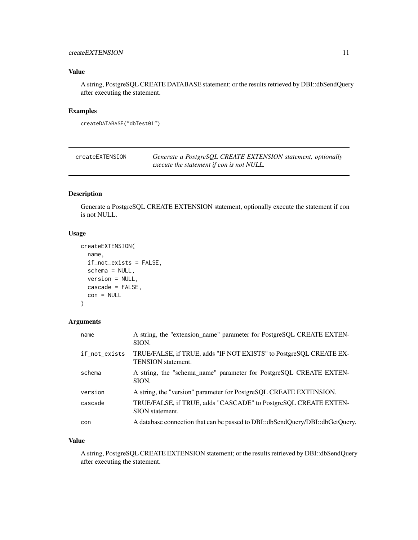## <span id="page-10-0"></span>createEXTENSION 11

## Value

A string, PostgreSQL CREATE DATABASE statement; or the results retrieved by DBI::dbSendQuery after executing the statement.

#### Examples

```
createDATABASE("dbTest01")
```

| createEXTENSION | Generate a PostgreSQL CREATE EXTENSION statement, optionally |
|-----------------|--------------------------------------------------------------|
|                 | execute the statement if con is not NULL.                    |

## Description

Generate a PostgreSQL CREATE EXTENSION statement, optionally execute the statement if con is not NULL.

## Usage

```
createEXTENSION(
  name,
  if_not_exists = FALSE,
  schema = NULL,
  version = NULL,
  cascade = FALSE,
  con = NULL
\mathcal{E}
```
#### Arguments

| name          | A string, the "extension_name" parameter for PostgreSQL CREATE EXTEN-<br>SION.                  |
|---------------|-------------------------------------------------------------------------------------------------|
| if_not_exists | TRUE/FALSE, if TRUE, adds "IF NOT EXISTS" to PostgreSQL CREATE EX-<br><b>TENSION</b> statement. |
| schema        | A string, the "schema_name" parameter for PostgreSQL CREATE EXTEN-<br>SION.                     |
| version       | A string, the "version" parameter for PostgreSQL CREATE EXTENSION.                              |
| cascade       | TRUE/FALSE, if TRUE, adds "CASCADE" to PostgreSQL CREATE EXTEN-<br>SION statement.              |
| con           | A database connection that can be passed to DBI::dbSendQuery/DBI::dbGetQuery.                   |

#### Value

A string, PostgreSQL CREATE EXTENSION statement; or the results retrieved by DBI::dbSendQuery after executing the statement.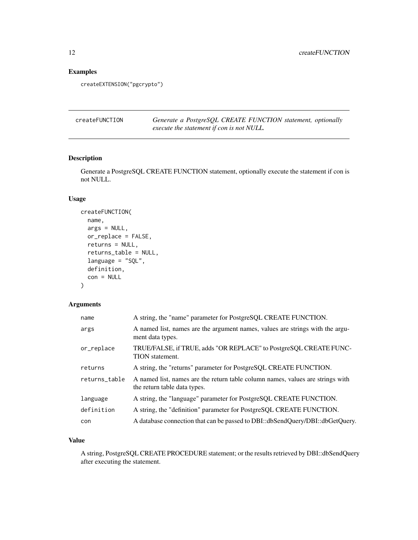## Examples

createEXTENSION("pgcrypto")

| createFUNCTION | Generate a PostgreSQL CREATE FUNCTION statement, optionally |  |
|----------------|-------------------------------------------------------------|--|
|                | execute the statement if con is not NULL.                   |  |

## Description

Generate a PostgreSQL CREATE FUNCTION statement, optionally execute the statement if con is not NULL.

## Usage

```
createFUNCTION(
  name,
  args = NULL,or_replace = FALSE,
  returns = NULL,
  returns_table = NULL,
  language = "SQL",definition,
  con = NULL
\mathcal{L}
```
## Arguments

| name          | A string, the "name" parameter for PostgreSQL CREATE FUNCTION.                                                 |
|---------------|----------------------------------------------------------------------------------------------------------------|
| args          | A named list, names are the argument names, values are strings with the argu-<br>ment data types.              |
| or_replace    | TRUE/FALSE, if TRUE, adds "OR REPLACE" to PostgreSQL CREATE FUNC-<br>TION statement.                           |
| returns       | A string, the "returns" parameter for PostgreSQL CREATE FUNCTION.                                              |
| returns_table | A named list, names are the return table column names, values are strings with<br>the return table data types. |
| language      | A string, the "language" parameter for PostgreSQL CREATE FUNCTION.                                             |
| definition    | A string, the "definition" parameter for PostgreSQL CREATE FUNCTION.                                           |
| con           | A database connection that can be passed to DBI::dbSendQuery/DBI::dbGetQuery.                                  |

## Value

A string, PostgreSQL CREATE PROCEDURE statement; or the results retrieved by DBI::dbSendQuery after executing the statement.

<span id="page-11-0"></span>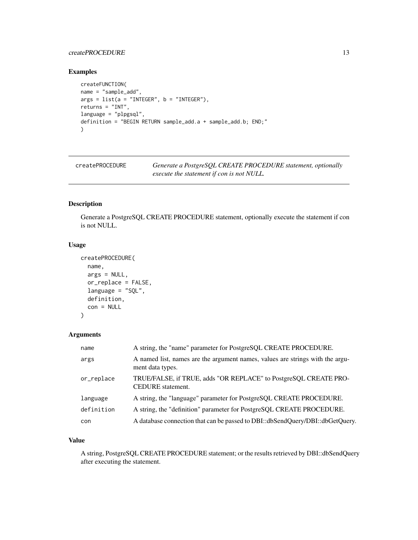## <span id="page-12-0"></span>createPROCEDURE 13

## Examples

```
createFUNCTION(
name = "sample_add",
args = list(a = "INTER", b = "INTER"),returns = "INT",
language = "plpgsql",
definition = "BEGIN RETURN sample_add.a + sample_add.b; END;"
)
```
createPROCEDURE *Generate a PostgreSQL CREATE PROCEDURE statement, optionally execute the statement if con is not NULL.*

## Description

Generate a PostgreSQL CREATE PROCEDURE statement, optionally execute the statement if con is not NULL.

## Usage

```
createPROCEDURE(
  name,
  args = NULL,
 or_replace = FALSE,
 language = "SQL",
 definition,
 con = NULL
\lambda
```
#### Arguments

| name       | A string, the "name" parameter for PostgreSQL CREATE PROCEDURE.                                   |
|------------|---------------------------------------------------------------------------------------------------|
| args       | A named list, names are the argument names, values are strings with the argu-<br>ment data types. |
| or_replace | TRUE/FALSE, if TRUE, adds "OR REPLACE" to PostgreSQL CREATE PRO-<br>CEDURE statement.             |
| language   | A string, the "language" parameter for PostgreSQL CREATE PROCEDURE.                               |
| definition | A string, the "definition" parameter for PostgreSQL CREATE PROCEDURE.                             |
| con        | A database connection that can be passed to DBI::dbSendQuery/DBI::dbGetQuery.                     |

#### Value

A string, PostgreSQL CREATE PROCEDURE statement; or the results retrieved by DBI::dbSendQuery after executing the statement.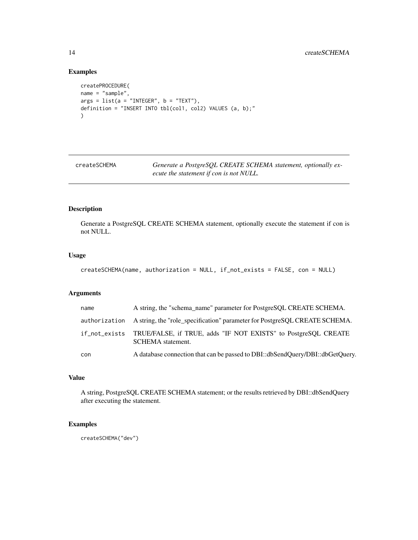## Examples

```
createPROCEDURE(
name = "sample",
args = list(a = "INTER", b = "TEST"),definition = "INSERT INTO tbl(col1, col2) VALUES (a, b);"
)
```
createSCHEMA *Generate a PostgreSQL CREATE SCHEMA statement, optionally execute the statement if con is not NULL.*

## Description

Generate a PostgreSQL CREATE SCHEMA statement, optionally execute the statement if con is not NULL.

## Usage

```
createSCHEMA(name, authorization = NULL, if_not_exists = FALSE, con = NULL)
```
## Arguments

| name | A string, the "schema_name" parameter for PostgreSQL CREATE SCHEMA.                                      |
|------|----------------------------------------------------------------------------------------------------------|
|      | authorization A string, the "role_specification" parameter for PostgreSQL CREATE SCHEMA.                 |
|      | if_not_exists TRUE/FALSE, if TRUE, adds "IF NOT EXISTS" to PostgreSQL CREATE<br><b>SCHEMA</b> statement. |
| con  | A database connection that can be passed to DBI::dbSendOuery/DBI::dbGetOuery.                            |

#### Value

A string, PostgreSQL CREATE SCHEMA statement; or the results retrieved by DBI::dbSendQuery after executing the statement.

## Examples

createSCHEMA("dev")

<span id="page-13-0"></span>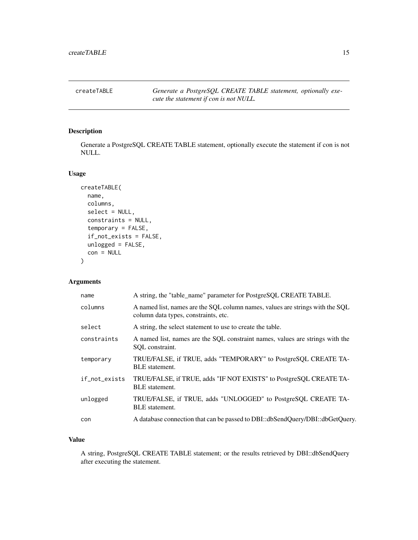<span id="page-14-0"></span>createTABLE *Generate a PostgreSQL CREATE TABLE statement, optionally execute the statement if con is not NULL.*

## Description

Generate a PostgreSQL CREATE TABLE statement, optionally execute the statement if con is not NULL.

#### Usage

```
createTABLE(
  name,
  columns,
  select = NULL,
  constraints = NULL,
  temporary = FALSE,
  if_not_exists = FALSE,
  unlogged = FALSE,
  con = NULL)
```
## Arguments

| name          | A string, the "table_name" parameter for PostgreSQL CREATE TABLE.                                                     |
|---------------|-----------------------------------------------------------------------------------------------------------------------|
| columns       | A named list, names are the SQL column names, values are strings with the SQL<br>column data types, constraints, etc. |
| select        | A string, the select statement to use to create the table.                                                            |
| constraints   | A named list, names are the SQL constraint names, values are strings with the<br>SOL constraint.                      |
| temporary     | TRUE/FALSE, if TRUE, adds "TEMPORARY" to PostgreSQL CREATE TA-<br><b>BLE</b> statement.                               |
| if_not_exists | TRUE/FALSE, if TRUE, adds "IF NOT EXISTS" to PostgreSQL CREATE TA-<br><b>BLE</b> statement.                           |
| unlogged      | TRUE/FALSE, if TRUE, adds "UNLOGGED" to PostgreSQL CREATE TA-<br><b>BLE</b> statement.                                |
| con           | A database connection that can be passed to DBI::dbSendQuery/DBI::dbGetQuery.                                         |
|               |                                                                                                                       |

## Value

A string, PostgreSQL CREATE TABLE statement; or the results retrieved by DBI::dbSendQuery after executing the statement.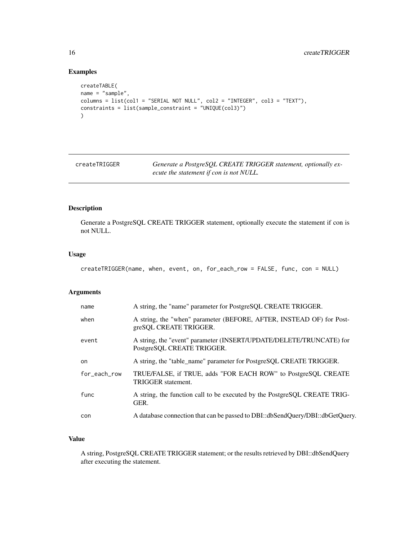## Examples

```
createTABLE(
name = "sample",
columns = list(col1 = "SERIAL NOT NULL", col2 = "INTEGER", col3 = "TEXT"),
constraints = list(sample_constraint = "UNIQUE(col3)")
)
```
createTRIGGER *Generate a PostgreSQL CREATE TRIGGER statement, optionally execute the statement if con is not NULL.*

## Description

Generate a PostgreSQL CREATE TRIGGER statement, optionally execute the statement if con is not NULL.

#### Usage

```
createTRIGGER(name, when, event, on, for_each_row = FALSE, func, con = NULL)
```
## Arguments

| name         | A string, the "name" parameter for PostgreSQL CREATE TRIGGER.                                     |
|--------------|---------------------------------------------------------------------------------------------------|
| when         | A string, the "when" parameter (BEFORE, AFTER, INSTEAD OF) for Post-<br>greSQL CREATE TRIGGER.    |
| event        | A string, the "event" parameter (INSERT/UPDATE/DELETE/TRUNCATE) for<br>PostgreSQL CREATE TRIGGER. |
| on           | A string, the "table_name" parameter for PostgreSQL CREATE TRIGGER.                               |
| for_each_row | TRUE/FALSE, if TRUE, adds "FOR EACH ROW" to PostgreSQL CREATE<br><b>TRIGGER</b> statement.        |
| func         | A string, the function call to be executed by the PostgreSQL CREATE TRIG-<br>GER.                 |
| con          | A database connection that can be passed to DBI::dbSendQuery/DBI::dbGetQuery.                     |
|              |                                                                                                   |

## Value

A string, PostgreSQL CREATE TRIGGER statement; or the results retrieved by DBI::dbSendQuery after executing the statement.

<span id="page-15-0"></span>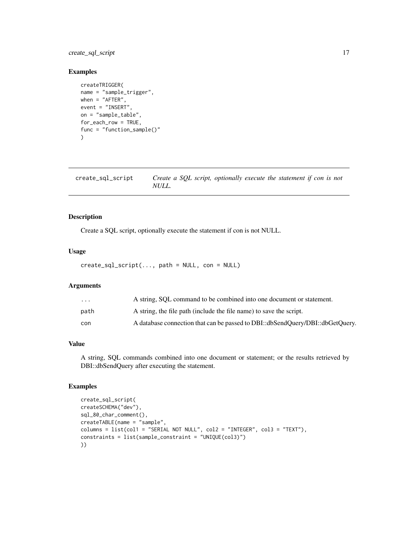## <span id="page-16-0"></span>create\_sql\_script 17

## Examples

```
createTRIGGER(
name = "sample_trigger",
when = "AFTER",
event = "INSERT"
on = "sample_table",
for_each_row = TRUE,
func = "function_sample()"
)
```
create\_sql\_script *Create a SQL script, optionally execute the statement if con is not NULL.*

#### Description

Create a SQL script, optionally execute the statement if con is not NULL.

## Usage

```
create_sql_script(..., path = NULL, con = NULL)
```
## Arguments

| $\cdot$ $\cdot$ $\cdot$ | A string, SOL command to be combined into one document or statement.          |
|-------------------------|-------------------------------------------------------------------------------|
| path                    | A string, the file path (include the file name) to save the script.           |
| con                     | A database connection that can be passed to DBI::dbSendQuery/DBI::dbGetQuery. |

#### Value

A string, SQL commands combined into one document or statement; or the results retrieved by DBI::dbSendQuery after executing the statement.

```
create_sql_script(
createSCHEMA("dev"),
sql_80_char_comment(),
createTABLE(name = "sample",
columns = list(coll = "SERIAL NOT NULL", col2 = "INTERERC.", col3 = "TEXT"),
constraints = list(sample_constraint = "UNIQUE(col3)")
))
```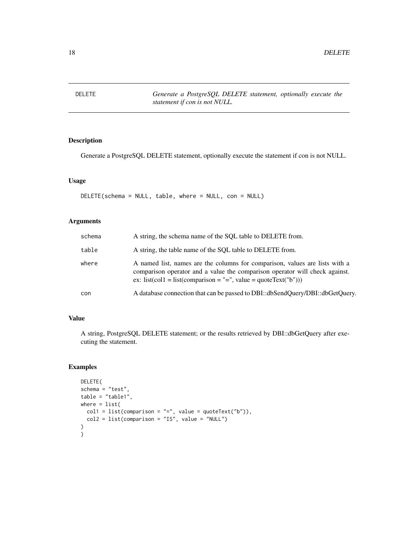<span id="page-17-0"></span>DELETE *Generate a PostgreSQL DELETE statement, optionally execute the statement if con is not NULL.*

## Description

Generate a PostgreSQL DELETE statement, optionally execute the statement if con is not NULL.

## Usage

DELETE(schema = NULL, table, where = NULL, con = NULL)

## Arguments

| schema | A string, the schema name of the SQL table to DELETE from.                                                                                                                                                                    |
|--------|-------------------------------------------------------------------------------------------------------------------------------------------------------------------------------------------------------------------------------|
| table  | A string, the table name of the SQL table to DELETE from.                                                                                                                                                                     |
| where  | A named list, names are the columns for comparison, values are lists with a<br>comparison operator and a value the comparison operator will check against.<br>ex: list(col1 = list(comparison = "=", value = quoteText("b"))) |
| con    | A database connection that can be passed to DBI::dbSendQuery/DBI::dbGetQuery.                                                                                                                                                 |

## Value

A string, PostgreSQL DELETE statement; or the results retrieved by DBI::dbGetQuery after executing the statement.

```
DELETE(
schema = "test",
table = "table1",
where = list(
 coll = list(comparison = "='", value = quotient("b")),
  col2 = list(comparison = "IS", value = "NULL")\mathcal{L}\big)
```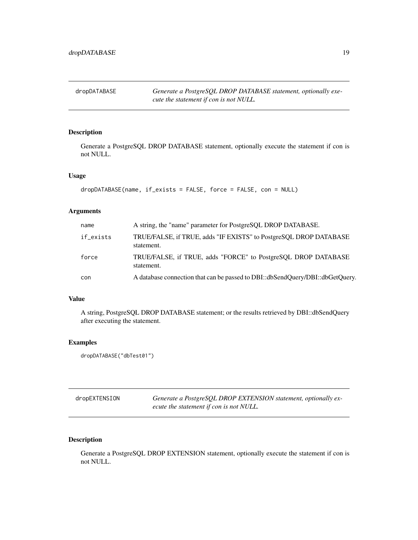<span id="page-18-0"></span>dropDATABASE *Generate a PostgreSQL DROP DATABASE statement, optionally execute the statement if con is not NULL.*

## Description

Generate a PostgreSQL DROP DATABASE statement, optionally execute the statement if con is not NULL.

## Usage

```
dropDATABASE(name, if_exists = FALSE, force = FALSE, con = NULL)
```
#### Arguments

| name      | A string, the "name" parameter for PostgreSQL DROP DATABASE.                    |
|-----------|---------------------------------------------------------------------------------|
| if_exists | TRUE/FALSE, if TRUE, adds "IF EXISTS" to PostgreSQL DROP DATABASE<br>statement. |
| force     | TRUE/FALSE, if TRUE, adds "FORCE" to PostgreSQL DROP DATABASE<br>statement.     |
| con       | A database connection that can be passed to DBI::dbSendQuery/DBI::dbGetQuery.   |

#### Value

A string, PostgreSQL DROP DATABASE statement; or the results retrieved by DBI::dbSendQuery after executing the statement.

#### Examples

```
dropDATABASE("dbTest01")
```

| dropEXTENSION | Generate a PostgreSQL DROP EXTENSION statement, optionally ex- |
|---------------|----------------------------------------------------------------|
|               | ecute the statement if con is not NULL.                        |

## Description

Generate a PostgreSQL DROP EXTENSION statement, optionally execute the statement if con is not NULL.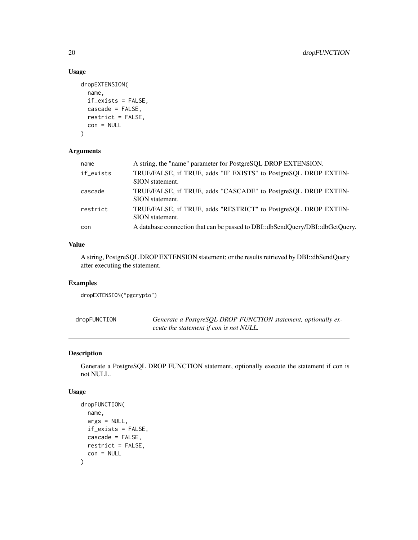## Usage

```
dropEXTENSION(
 name,
  if_exists = FALSE,
 cascade = FALSE,
 restrict = FALSE,
  con = NULL
)
```
## Arguments

| name      | A string, the "name" parameter for PostgreSQL DROP EXTENSION.                      |
|-----------|------------------------------------------------------------------------------------|
| if_exists | TRUE/FALSE, if TRUE, adds "IF EXISTS" to PostgreSQL DROP EXTEN-<br>SION statement. |
| cascade   | TRUE/FALSE, if TRUE, adds "CASCADE" to PostgreSQL DROP EXTEN-<br>SION statement.   |
| restrict  | TRUE/FALSE, if TRUE, adds "RESTRICT" to PostgreSQL DROP EXTEN-<br>SION statement.  |
| con       | A database connection that can be passed to DBI::dbSendQuery/DBI::dbGetQuery.      |

## Value

A string, PostgreSQL DROP EXTENSION statement; or the results retrieved by DBI::dbSendQuery after executing the statement.

## Examples

dropEXTENSION("pgcrypto")

| dropFUNCTION | Generate a PostgreSQL DROP FUNCTION statement, optionally ex- |
|--------------|---------------------------------------------------------------|
|              | ecute the statement if con is not NULL.                       |

## Description

Generate a PostgreSQL DROP FUNCTION statement, optionally execute the statement if con is not NULL.

```
dropFUNCTION(
  name,
  args = NULL,
  if_exists = FALSE,
  cascade = FALSE,
  restrict = FALSE,
  con = NULL
\mathcal{E}
```
<span id="page-19-0"></span>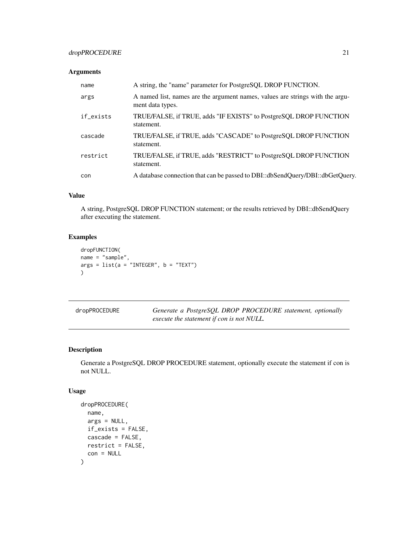## <span id="page-20-0"></span>dropPROCEDURE 21

## Arguments

| name      | A string, the "name" parameter for PostgreSQL DROP FUNCTION.                                      |
|-----------|---------------------------------------------------------------------------------------------------|
| args      | A named list, names are the argument names, values are strings with the argu-<br>ment data types. |
| if_exists | TRUE/FALSE, if TRUE, adds "IF EXISTS" to PostgreSQL DROP FUNCTION<br>statement.                   |
| cascade   | TRUE/FALSE, if TRUE, adds "CASCADE" to PostgreSQL DROP FUNCTION<br>statement.                     |
| restrict  | TRUE/FALSE, if TRUE, adds "RESTRICT" to PostgreSQL DROP FUNCTION<br>statement.                    |
| con       | A database connection that can be passed to DBI::dbSendQuery/DBI::dbGetQuery.                     |

## Value

A string, PostgreSQL DROP FUNCTION statement; or the results retrieved by DBI::dbSendQuery after executing the statement.

## Examples

```
dropFUNCTION(
name = "sample",
args = list(a = "INTER", b = "TEXT")\mathcal{L}
```

| dropPROCEDURE | Generate a PostgreSQL DROP PROCEDURE statement, optionally |
|---------------|------------------------------------------------------------|
|               | execute the statement if con is not NULL.                  |

## Description

Generate a PostgreSQL DROP PROCEDURE statement, optionally execute the statement if con is not NULL.

```
dropPROCEDURE(
  name,
  args = NULL,
  if_exists = FALSE,
  cascade = FALSE,
  restrict = FALSE,
  con = NULL
\mathcal{E}
```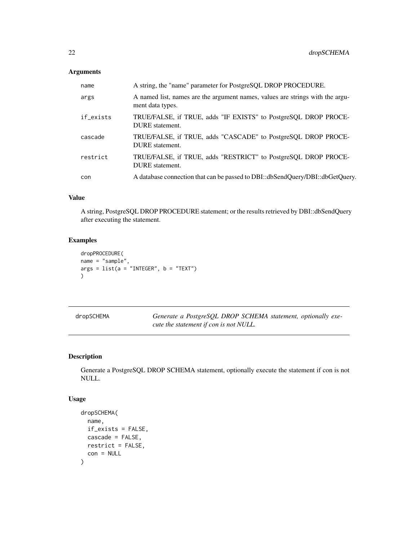## <span id="page-21-0"></span>Arguments

| name      | A string, the "name" parameter for PostgreSQL DROP PROCEDURE.                                     |
|-----------|---------------------------------------------------------------------------------------------------|
| args      | A named list, names are the argument names, values are strings with the argu-<br>ment data types. |
| if_exists | TRUE/FALSE, if TRUE, adds "IF EXISTS" to PostgreSQL DROP PROCE-<br>DURE statement.                |
| cascade   | TRUE/FALSE, if TRUE, adds "CASCADE" to PostgreSQL DROP PROCE-<br>DURE statement.                  |
| restrict  | TRUE/FALSE, if TRUE, adds "RESTRICT" to PostgreSQL DROP PROCE-<br>DURE statement.                 |
| con       | A database connection that can be passed to DBI::dbSendQuery/DBI::dbGetQuery.                     |

#### Value

A string, PostgreSQL DROP PROCEDURE statement; or the results retrieved by DBI::dbSendQuery after executing the statement.

## Examples

```
dropPROCEDURE(
name = "sample",
args = list(a = "INTER", b = "TEXT")\mathcal{L}
```

| dropSCHEMA | Generate a PostgreSQL DROP SCHEMA statement, optionally exe- |  |  |
|------------|--------------------------------------------------------------|--|--|
|            | cute the statement if con is not NULL.                       |  |  |

## Description

Generate a PostgreSQL DROP SCHEMA statement, optionally execute the statement if con is not NULL.

```
dropSCHEMA(
  name,
  if_exists = FALSE,
  cascade = FALSE,
  restrict = FALSE,
  con = NULL
\mathcal{L}
```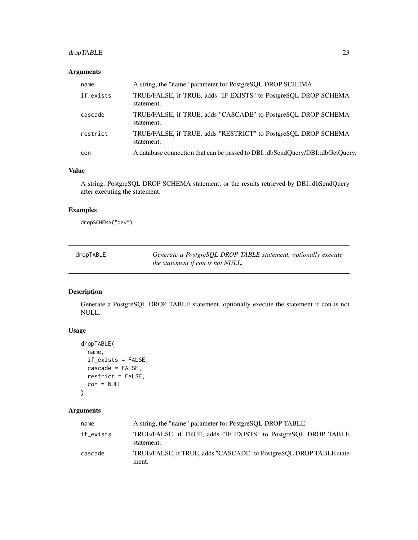## <span id="page-22-0"></span>dropTABLE 23

## Arguments

| name      | A string, the "name" parameter for PostgreSQL DROP SCHEMA.                    |
|-----------|-------------------------------------------------------------------------------|
| if_exists | TRUE/FALSE, if TRUE, adds "IF EXISTS" to PostgreSQL DROP SCHEMA<br>statement. |
| cascade   | TRUE/FALSE, if TRUE, adds "CASCADE" to PostgreSQL DROP SCHEMA<br>statement.   |
| restrict  | TRUE/FALSE, if TRUE, adds "RESTRICT" to PostgreSQL DROP SCHEMA<br>statement.  |
| con       | A database connection that can be passed to DBI::dbSendQuery/DBI::dbGetQuery. |

## Value

A string, PostgreSQL DROP SCHEMA statement; or the results retrieved by DBI::dbSendQuery after executing the statement.

## Examples

dropSCHEMA("dev")

| dropTABLE | Generate a PostgreSQL DROP TABLE statement, optionally execute |
|-----------|----------------------------------------------------------------|
|           | the statement if con is not NULL.                              |

## Description

Generate a PostgreSQL DROP TABLE statement, optionally execute the statement if con is not NULL.

## Usage

```
dropTABLE(
 name,
 if_exists = FALSE,
 cascade = FALSE,
 restrict = FALSE,
  con = NULL
)
```

| name      | A string, the "name" parameter for PostgreSOL DROP TABLE.                    |
|-----------|------------------------------------------------------------------------------|
| if_exists | TRUE/FALSE, if TRUE, adds "IF EXISTS" to PostgreSQL DROP TABLE<br>statement. |
| cascade   | TRUE/FALSE, if TRUE, adds "CASCADE" to PostgreSQL DROP TABLE state-<br>ment. |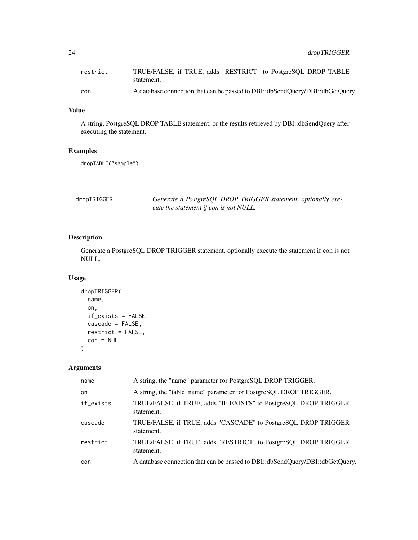<span id="page-23-0"></span>

| restrict | TRUE/FALSE, if TRUE, adds "RESTRICT" to PostgreSQL DROP TABLE<br>statement.   |
|----------|-------------------------------------------------------------------------------|
| con      | A database connection that can be passed to DBI::dbSendQuery/DBI::dbGetQuery. |

## Value

A string, PostgreSQL DROP TABLE statement; or the results retrieved by DBI::dbSendQuery after executing the statement.

## Examples

dropTABLE("sample")

| dropTRIGGER | Generate a PostgreSQL DROP TRIGGER statement, optionally exe- |
|-------------|---------------------------------------------------------------|
|             | cute the statement if con is not NULL.                        |

## Description

Generate a PostgreSQL DROP TRIGGER statement, optionally execute the statement if con is not NULL.

## Usage

```
dropTRIGGER(
 name,
 on,
 if_exists = FALSE,
 cascade = FALSE,
 restrict = FALSE,
 con = NULL)
```

| name      | A string, the "name" parameter for PostgreSQL DROP TRIGGER.                    |
|-----------|--------------------------------------------------------------------------------|
| on.       | A string, the "table_name" parameter for PostgreSQL DROP TRIGGER.              |
| if_exists | TRUE/FALSE, if TRUE, adds "IF EXISTS" to PostgreSQL DROP TRIGGER<br>statement. |
| cascade   | TRUE/FALSE, if TRUE, adds "CASCADE" to PostgreSQL DROP TRIGGER<br>statement.   |
| restrict  | TRUE/FALSE, if TRUE, adds "RESTRICT" to PostgreSQL DROP TRIGGER<br>statement.  |
| con       | A database connection that can be passed to DBI::dbSendQuery/DBI::dbGetQuery.  |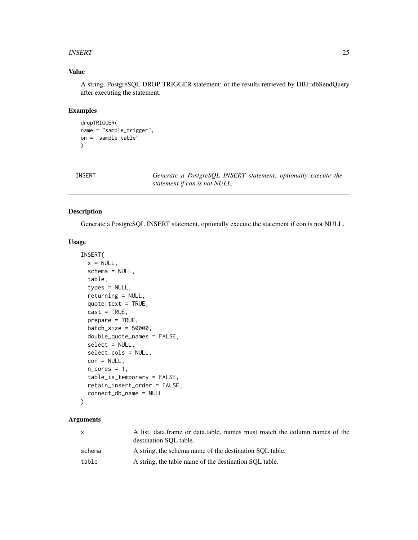#### <span id="page-24-0"></span>INSERT 25

## Value

A string, PostgreSQL DROP TRIGGER statement; or the results retrieved by DBI::dbSendQuery after executing the statement.

## Examples

```
dropTRIGGER(
name = "sample_trigger",
on = "sample_table"
\mathcal{L}
```
INSERT *Generate a PostgreSQL INSERT statement, optionally execute the statement if con is not NULL.*

#### Description

Generate a PostgreSQL INSERT statement, optionally execute the statement if con is not NULL.

#### Usage

```
INSERT(
 x = NULL,schema = NULL,
  table,
  types = NULL,
  returning = NULL,
 quote_text = TRUE,
 cast = TRUE,prepare = TRUE,
 batch_size = 50000,
  double_quote_names = FALSE,
  select = NULL,
  select_cols = NULL,
  con = NULL,n\_cores = 1,table_is_temporary = FALSE,
  retain_insert_order = FALSE,
  connect_db_name = NULL
```

```
)
```

| x      | A list, data.frame or data.table, names must match the column names of the<br>destination SOL table. |
|--------|------------------------------------------------------------------------------------------------------|
| schema | A string, the schema name of the destination SOL table.                                              |
| table  | A string, the table name of the destination SOL table.                                               |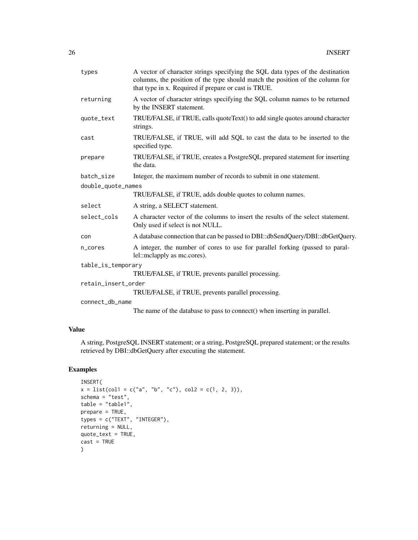| types               | A vector of character strings specifying the SQL data types of the destination<br>columns, the position of the type should match the position of the column for<br>that type in x. Required if prepare or cast is TRUE.                                                                                                                          |  |
|---------------------|--------------------------------------------------------------------------------------------------------------------------------------------------------------------------------------------------------------------------------------------------------------------------------------------------------------------------------------------------|--|
| returning           | A vector of character strings specifying the SQL column names to be returned<br>by the INSERT statement.                                                                                                                                                                                                                                         |  |
| quote_text          | TRUE/FALSE, if TRUE, calls quoteText() to add single quotes around character<br>strings.                                                                                                                                                                                                                                                         |  |
| cast                | TRUE/FALSE, if TRUE, will add SQL to cast the data to be inserted to the<br>specified type.                                                                                                                                                                                                                                                      |  |
| prepare             | TRUE/FALSE, if TRUE, creates a PostgreSQL prepared statement for inserting<br>the data.                                                                                                                                                                                                                                                          |  |
| batch_size          | Integer, the maximum number of records to submit in one statement.                                                                                                                                                                                                                                                                               |  |
| double_quote_names  |                                                                                                                                                                                                                                                                                                                                                  |  |
|                     | TRUE/FALSE, if TRUE, adds double quotes to column names.                                                                                                                                                                                                                                                                                         |  |
| select              | A string, a SELECT statement.                                                                                                                                                                                                                                                                                                                    |  |
| select_cols         | A character vector of the columns to insert the results of the select statement.<br>Only used if select is not NULL.                                                                                                                                                                                                                             |  |
| con                 | A database connection that can be passed to DBI::dbSendQuery/DBI::dbGetQuery.                                                                                                                                                                                                                                                                    |  |
| n_cores             | A integer, the number of cores to use for parallel forking (passed to paral-<br>lel::mclapply as mc.cores).                                                                                                                                                                                                                                      |  |
| table_is_temporary  |                                                                                                                                                                                                                                                                                                                                                  |  |
|                     | TRUE/FALSE, if TRUE, prevents parallel processing.                                                                                                                                                                                                                                                                                               |  |
| retain_insert_order |                                                                                                                                                                                                                                                                                                                                                  |  |
|                     | TRUE/FALSE, if TRUE, prevents parallel processing.                                                                                                                                                                                                                                                                                               |  |
| connect_db_name     |                                                                                                                                                                                                                                                                                                                                                  |  |
|                     | $\overline{11}$ . The company of $\overline{1}$ , $\overline{1}$ , $\overline{1}$ , $\overline{1}$ , $\overline{1}$ , $\overline{1}$ , $\overline{1}$ , $\overline{1}$ , $\overline{1}$ , $\overline{1}$ , $\overline{1}$ , $\overline{1}$ , $\overline{1}$ , $\overline{1}$ , $\overline{1}$ , $\overline{1}$ , $\overline{1}$ , $\overline{1}$ |  |

The name of the database to pass to connect() when inserting in parallel.

## Value

A string, PostgreSQL INSERT statement; or a string, PostgreSQL prepared statement; or the results retrieved by DBI::dbGetQuery after executing the statement.

```
INSERT(
x = list(coll = c("a", "b", "c"), col2 = c(1, 2, 3)),schema = "test",
table = "table1",
prepare = TRUE,
types = c("TEXT", "INTEGER"),
returning = NULL,
quote_text = TRUE,
cast = TRUE\mathcal{L}
```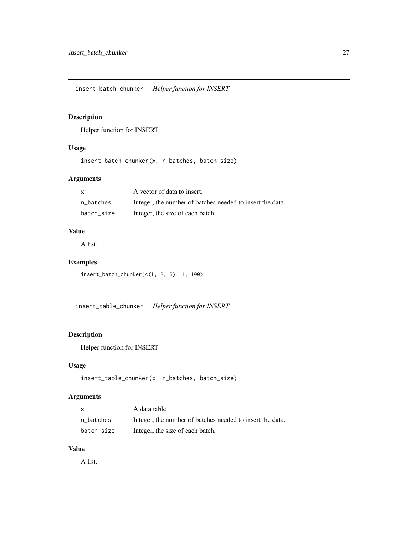<span id="page-26-0"></span>insert\_batch\_chunker *Helper function for INSERT*

## Description

Helper function for INSERT

## Usage

insert\_batch\_chunker(x, n\_batches, batch\_size)

## Arguments

| X          | A vector of data to insert.                               |
|------------|-----------------------------------------------------------|
| n batches  | Integer, the number of batches needed to insert the data. |
| batch size | Integer, the size of each batch.                          |

## Value

A list.

## Examples

insert\_batch\_chunker(c(1, 2, 3), 1, 100)

insert\_table\_chunker *Helper function for INSERT*

## Description

Helper function for INSERT

## Usage

```
insert_table_chunker(x, n_batches, batch_size)
```
## Arguments

| x          | A data table                                              |
|------------|-----------------------------------------------------------|
| n_batches  | Integer, the number of batches needed to insert the data. |
| batch size | Integer, the size of each batch.                          |

#### Value

A list.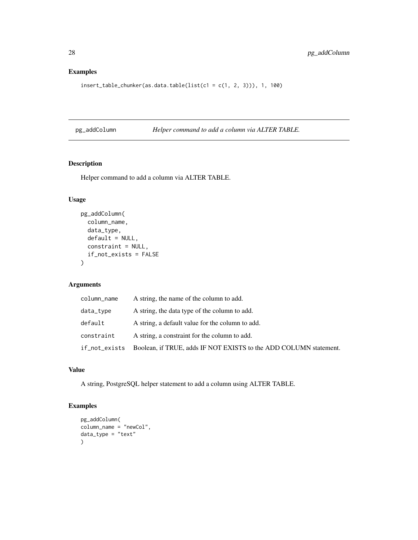## Examples

 $insert_table{\_}chunker(as.data.table(list(c1 = c(1, 2, 3))), 1, 100)$ 

pg\_addColumn *Helper command to add a column via ALTER TABLE.*

## Description

Helper command to add a column via ALTER TABLE.

## Usage

```
pg_addColumn(
  column_name,
  data_type,
  default = NULL,constraint = NULL,
  if_not_exists = FALSE
\mathcal{E}
```
## Arguments

| column_name | A string, the name of the column to add.                                        |
|-------------|---------------------------------------------------------------------------------|
| data_type   | A string, the data type of the column to add.                                   |
| default     | A string, a default value for the column to add.                                |
| constraint  | A string, a constraint for the column to add.                                   |
|             | if_not_exists Boolean, if TRUE, adds IF NOT EXISTS to the ADD COLUMN statement. |

## Value

A string, PostgreSQL helper statement to add a column using ALTER TABLE.

```
pg_addColumn(
column_name = "newCol",
data_type = "text"
)
```
<span id="page-27-0"></span>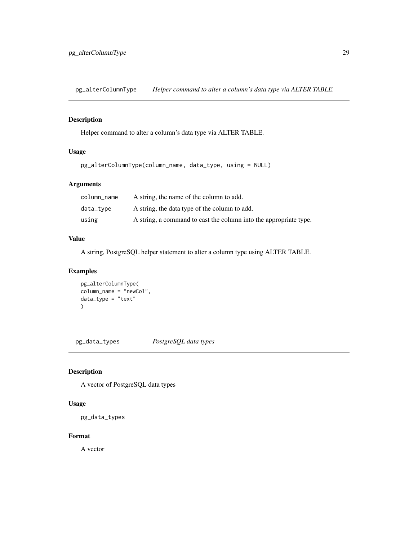<span id="page-28-0"></span>pg\_alterColumnType *Helper command to alter a column's data type via ALTER TABLE.*

## Description

Helper command to alter a column's data type via ALTER TABLE.

## Usage

```
pg_alterColumnType(column_name, data_type, using = NULL)
```
## Arguments

| column name | A string, the name of the column to add.                          |
|-------------|-------------------------------------------------------------------|
| data_type   | A string, the data type of the column to add.                     |
| using       | A string, a command to cast the column into the appropriate type. |

## Value

A string, PostgreSQL helper statement to alter a column type using ALTER TABLE.

## Examples

```
pg_alterColumnType(
column_name = "newCol",
data_type = "text"
)
```
pg\_data\_types *PostgreSQL data types*

## Description

A vector of PostgreSQL data types

## Usage

pg\_data\_types

## Format

A vector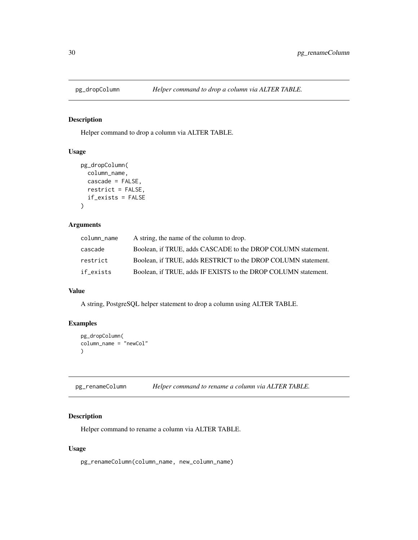<span id="page-29-0"></span>

## Description

Helper command to drop a column via ALTER TABLE.

## Usage

```
pg_dropColumn(
  column_name,
  cascade = FALSE,
 restrict = FALSE,
  if_exists = FALSE
)
```
## Arguments

| column_name | A string, the name of the column to drop.                      |
|-------------|----------------------------------------------------------------|
| cascade     | Boolean, if TRUE, adds CASCADE to the DROP COLUMN statement.   |
| restrict    | Boolean, if TRUE, adds RESTRICT to the DROP COLUMN statement.  |
| if exists   | Boolean, if TRUE, adds IF EXISTS to the DROP COLUMN statement. |

#### Value

A string, PostgreSQL helper statement to drop a column using ALTER TABLE.

## Examples

```
pg_dropColumn(
column_name = "newCol"
\lambda
```
pg\_renameColumn *Helper command to rename a column via ALTER TABLE.*

## Description

Helper command to rename a column via ALTER TABLE.

#### Usage

pg\_renameColumn(column\_name, new\_column\_name)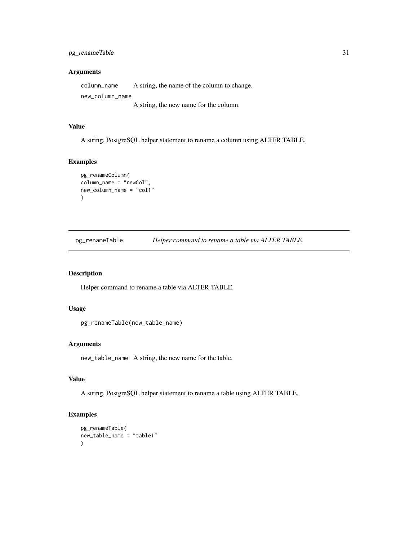## <span id="page-30-0"></span>Arguments

column\_name A string, the name of the column to change. new\_column\_name

A string, the new name for the column.

#### Value

A string, PostgreSQL helper statement to rename a column using ALTER TABLE.

#### Examples

```
pg_renameColumn(
column_name = "newCol",
new_column_name = "col1"
)
```
pg\_renameTable *Helper command to rename a table via ALTER TABLE.*

## Description

Helper command to rename a table via ALTER TABLE.

#### Usage

```
pg_renameTable(new_table_name)
```
#### Arguments

new\_table\_name A string, the new name for the table.

## Value

A string, PostgreSQL helper statement to rename a table using ALTER TABLE.

```
pg_renameTable(
new_table_name = "table1"
\mathcal{L}
```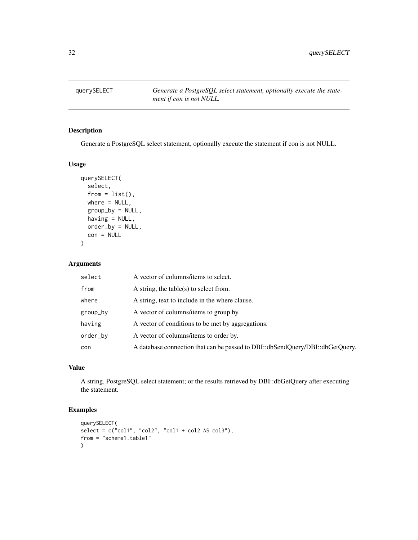<span id="page-31-0"></span>querySELECT *Generate a PostgreSQL select statement, optionally execute the statement if con is not NULL.*

## Description

Generate a PostgreSQL select statement, optionally execute the statement if con is not NULL.

## Usage

```
querySELECT(
  select,
  from = list(),where = NULL,
 group_by = NULL,having = NULL,
 order_by = NULL,
 con = NULL
)
```
## Arguments

| select   | A vector of columns/items to select.                                          |
|----------|-------------------------------------------------------------------------------|
| from     | A string, the table(s) to select from.                                        |
| where    | A string, text to include in the where clause.                                |
| group_by | A vector of columns/items to group by.                                        |
| having   | A vector of conditions to be met by aggregations.                             |
| order_by | A vector of columns/items to order by.                                        |
| con      | A database connection that can be passed to DBI::dbSendQuery/DBI::dbGetQuery. |

## Value

A string, PostgreSQL select statement; or the results retrieved by DBI::dbGetQuery after executing the statement.

```
querySELECT(
\verb|select = c("col1", "col2", "col1 + col2 AS col3"),from = "schema1.table1"
)
```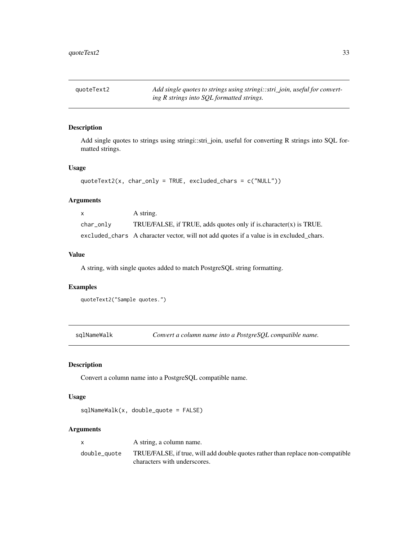<span id="page-32-0"></span>quoteText2 *Add single quotes to strings using stringi::stri\_join, useful for converting R strings into SQL formatted strings.*

## Description

Add single quotes to strings using stringi::stri\_join, useful for converting R strings into SQL formatted strings.

## Usage

```
quoteText2(x, char_only = TRUE, excluded_chars = c("NULL"))
```
## Arguments

| X         | A string.                                                                               |
|-----------|-----------------------------------------------------------------------------------------|
| char_only | TRUE/FALSE, if TRUE, adds quotes only if is character(x) is TRUE.                       |
|           | excluded chars A character vector, will not add quotes if a value is in excluded chars. |

#### Value

A string, with single quotes added to match PostgreSQL string formatting.

## Examples

```
quoteText2("Sample quotes.")
```
sqlNameWalk *Convert a column name into a PostgreSQL compatible name.*

## Description

Convert a column name into a PostgreSQL compatible name.

## Usage

sqlNameWalk(x, double\_quote = FALSE)

| X            | A string, a column name.                                                       |
|--------------|--------------------------------------------------------------------------------|
| double_quote | TRUE/FALSE, if true, will add double quotes rather than replace non-compatible |
|              | characters with underscores.                                                   |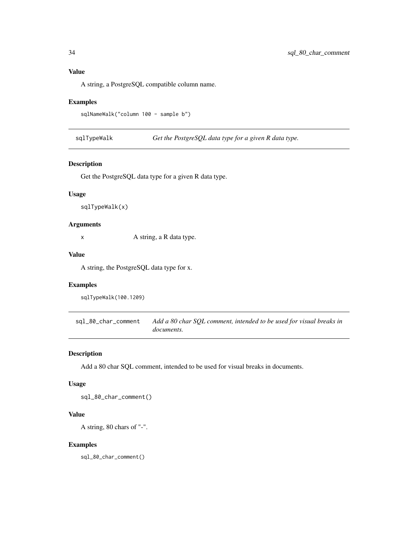<span id="page-33-0"></span>A string, a PostgreSQL compatible column name.

## Examples

sqlNameWalk("column 100 - sample b")

sqlTypeWalk *Get the PostgreSQL data type for a given R data type.*

## Description

Get the PostgreSQL data type for a given R data type.

#### Usage

sqlTypeWalk(x)

#### Arguments

x A string, a R data type.

#### Value

A string, the PostgreSQL data type for x.

## Examples

sqlTypeWalk(100.1209)

sql\_80\_char\_comment *Add a 80 char SQL comment, intended to be used for visual breaks in documents.*

## Description

Add a 80 char SQL comment, intended to be used for visual breaks in documents.

#### Usage

sql\_80\_char\_comment()

#### Value

A string, 80 chars of "-".

#### Examples

sql\_80\_char\_comment()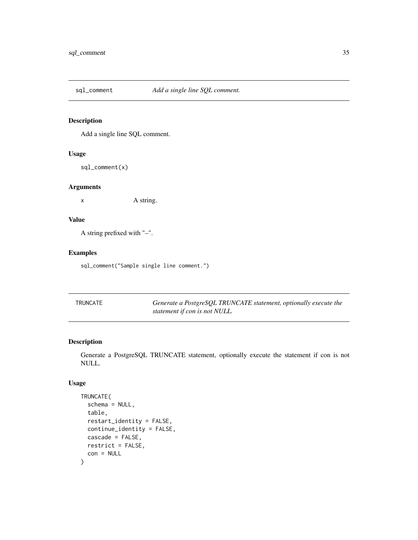<span id="page-34-0"></span>

## Description

Add a single line SQL comment.

## Usage

sql\_comment(x)

## Arguments

x A string.

## Value

A string prefixed with "–".

## Examples

sql\_comment("Sample single line comment.")

TRUNCATE *Generate a PostgreSQL TRUNCATE statement, optionally execute the statement if con is not NULL.*

#### Description

Generate a PostgreSQL TRUNCATE statement, optionally execute the statement if con is not NULL.

```
TRUNCATE(
  schema = NULL,
  table,
  restart_identity = FALSE,
  continue_identity = FALSE,
  cascade = FALSE,
  restrict = FALSE,
  con = NULL
\mathcal{E}
```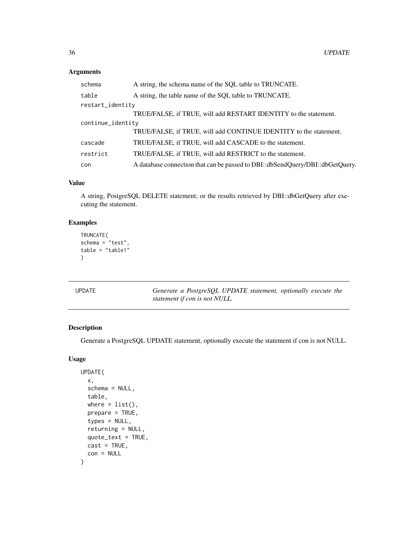## <span id="page-35-0"></span>Arguments

| schema            | A string, the schema name of the SQL table to TRUNCATE.                       |  |
|-------------------|-------------------------------------------------------------------------------|--|
| table             | A string, the table name of the SQL table to TRUNCATE.                        |  |
| restart_identity  |                                                                               |  |
|                   | TRUE/FALSE, if TRUE, will add RESTART IDENTITY to the statement.              |  |
| continue_identity |                                                                               |  |
|                   | TRUE/FALSE, if TRUE, will add CONTINUE IDENTITY to the statement.             |  |
| cascade           | TRUE/FALSE, if TRUE, will add CASCADE to the statement.                       |  |
| restrict          | TRUE/FALSE, if TRUE, will add RESTRICT to the statement.                      |  |
| con               | A database connection that can be passed to DBI::dbSendQuery/DBI::dbGetQuery. |  |

## Value

A string, PostgreSQL DELETE statement; or the results retrieved by DBI::dbGetQuery after executing the statement.

## Examples

```
TRUNCATE(
schema = "test",
table = "table1"
\mathcal{L}
```
UPDATE *Generate a PostgreSQL UPDATE statement, optionally execute the statement if con is not NULL.*

## Description

Generate a PostgreSQL UPDATE statement, optionally execute the statement if con is not NULL.

```
UPDATE(
  x,
  schema = NULL,
  table,
  where = list(),
  prepare = TRUE,
  types = NULL,
  returning = NULL,
  quote_text = TRUE,
  cast = TRUE,con = NULL
\mathcal{E}
```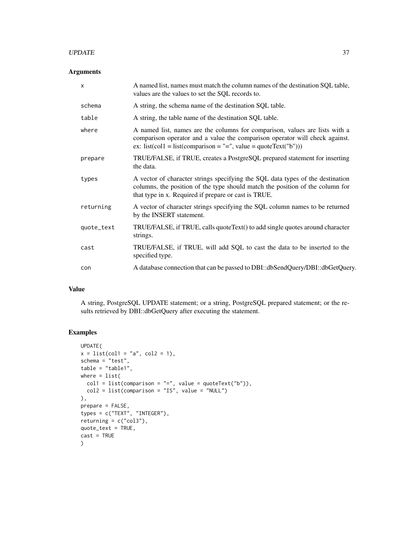#### $UPDATE$  37

## Arguments

| $\boldsymbol{\mathsf{x}}$ | A named list, names must match the column names of the destination SQL table,<br>values are the values to set the SQL records to.                                                                                             |
|---------------------------|-------------------------------------------------------------------------------------------------------------------------------------------------------------------------------------------------------------------------------|
| schema                    | A string, the schema name of the destination SQL table.                                                                                                                                                                       |
| table                     | A string, the table name of the destination SQL table.                                                                                                                                                                        |
| where                     | A named list, names are the columns for comparison, values are lists with a<br>comparison operator and a value the comparison operator will check against.<br>ex: list(col1 = list(comparison = "=", value = quoteText("b"))) |
| prepare                   | TRUE/FALSE, if TRUE, creates a PostgreSQL prepared statement for inserting<br>the data.                                                                                                                                       |
| types                     | A vector of character strings specifying the SQL data types of the destination<br>columns, the position of the type should match the position of the column for<br>that type in x. Required if prepare or cast is TRUE.       |
| returning                 | A vector of character strings specifying the SQL column names to be returned<br>by the INSERT statement.                                                                                                                      |
| quote_text                | TRUE/FALSE, if TRUE, calls quoteText() to add single quotes around character<br>strings.                                                                                                                                      |
| cast                      | TRUE/FALSE, if TRUE, will add SQL to cast the data to be inserted to the<br>specified type.                                                                                                                                   |
| con                       | A database connection that can be passed to DBI::dbSendQuery/DBI::dbGetQuery.                                                                                                                                                 |

## Value

A string, PostgreSQL UPDATE statement; or a string, PostgreSQL prepared statement; or the results retrieved by DBI::dbGetQuery after executing the statement.

```
UPDATE(
x = 1ist(col1 = "a", col2 = 1),
schema = "test",
table = "table1",
where = list(
 col1 = list(comparison = "=", value = quoter(x'b")),
 col2 = list(comparison = "IS", value = "NULL")),
prepare = FALSE,
types = c("TEXT", "INTEGER"),
returning = c("col3"),
quote_text = TRUE,
cast = TRUE\mathcal{L}
```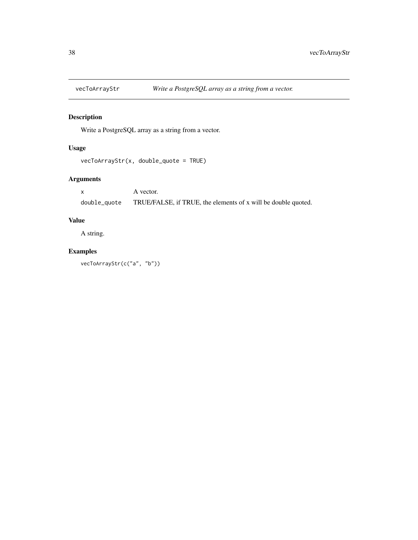<span id="page-37-0"></span>

## Description

Write a PostgreSQL array as a string from a vector.

## Usage

```
vecToArrayStr(x, double_quote = TRUE)
```
## Arguments

x A vector. double\_quote TRUE/FALSE, if TRUE, the elements of x will be double quoted.

## Value

A string.

## Examples

vecToArrayStr(c("a", "b"))